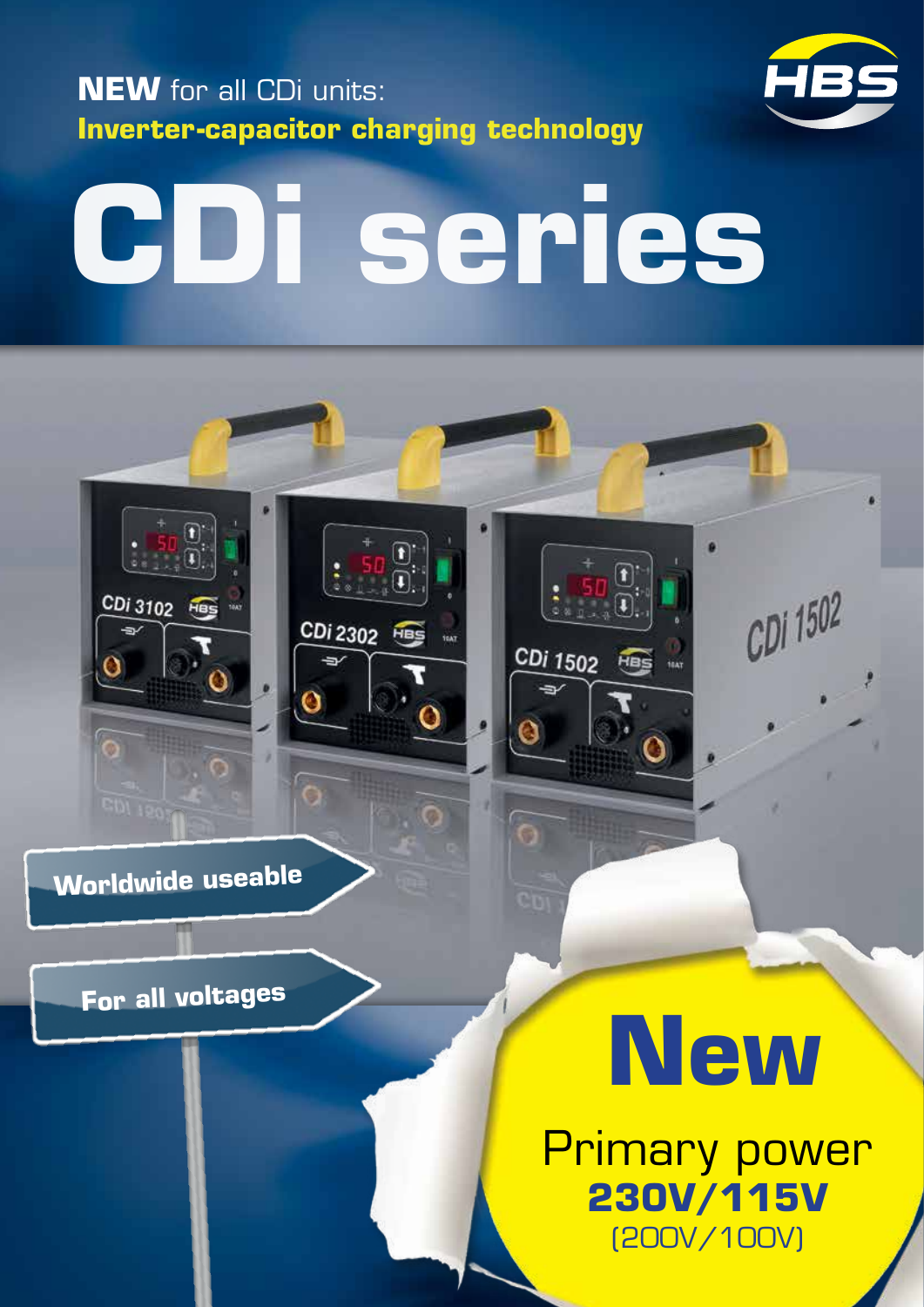



CDi 1502

# **CDi series**

 $\frac{1}{\epsilon}$ 

CDi 2302 HBS



CDi 3102 Has

**For all voltages**

# **New**

O

CDi 1502 Has us

Primary power **230V/115V** (200V/100V)